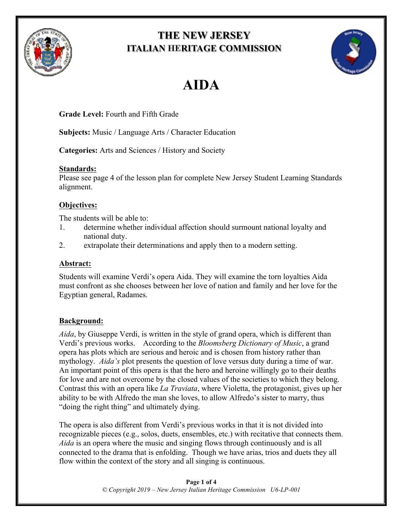

## **THE NEW JERSEY ITALIAN HERITAGE COMMISSION**



# **AIDA**

**Grade Level:** Fourth and Fifth Grade

**Subjects:** Music / Language Arts / Character Education

**Categories:** Arts and Sciences / History and Society

### **Standards:**

Please see page 4 of the lesson plan for complete New Jersey Student Learning Standards alignment.

### **Objectives:**

The students will be able to:

- 1. determine whether individual affection should surmount national loyalty and national duty.
- 2. extrapolate their determinations and apply then to a modern setting.

### **Abstract:**

Students will examine Verdi's opera Aida. They will examine the torn loyalties Aida must confront as she chooses between her love of nation and family and her love for the Egyptian general, Radames.

### **Background:**

*Aida*, by Giuseppe Verdi, is written in the style of grand opera, which is different than Verdi's previous works. According to the *Bloomsberg Dictionary of Music*, a grand opera has plots which are serious and heroic and is chosen from history rather than mythology. *Aida's* plot presents the question of love versus duty during a time of war. An important point of this opera is that the hero and heroine willingly go to their deaths for love and are not overcome by the closed values of the societies to which they belong. Contrast this with an opera like *La Traviata*, where Violetta, the protagonist, gives up her ability to be with Alfredo the man she loves, to allow Alfredo's sister to marry, thus "doing the right thing" and ultimately dying.

The opera is also different from Verdi's previous works in that it is not divided into recognizable pieces (e.g., solos, duets, ensembles, etc.) with recitative that connects them. *Aida* is an opera where the music and singing flows through continuously and is all connected to the drama that is enfolding. Though we have arias, trios and duets they all flow within the context of the story and all singing is continuous.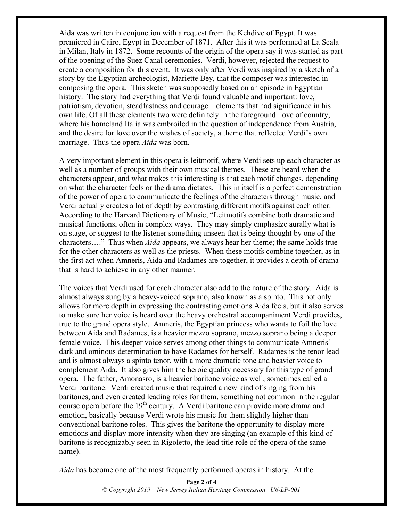Aida was written in conjunction with a request from the Kehdive of Egypt. It was premiered in Cairo, Egypt in December of 1871. After this it was performed at La Scala in Milan, Italy in 1872. Some recounts of the origin of the opera say it was started as part of the opening of the Suez Canal ceremonies. Verdi, however, rejected the request to create a composition for this event. It was only after Verdi was inspired by a sketch of a story by the Egyptian archeologist, Mariette Bey, that the composer was interested in composing the opera. This sketch was supposedly based on an episode in Egyptian history. The story had everything that Verdi found valuable and important: love, patriotism, devotion, steadfastness and courage – elements that had significance in his own life. Of all these elements two were definitely in the foreground: love of country, where his homeland Italia was embroiled in the question of independence from Austria, and the desire for love over the wishes of society, a theme that reflected Verdi's own marriage. Thus the opera *Aida* was born.

A very important element in this opera is leitmotif, where Verdi sets up each character as well as a number of groups with their own musical themes. These are heard when the characters appear, and what makes this interesting is that each motif changes, depending on what the character feels or the drama dictates. This in itself is a perfect demonstration of the power of opera to communicate the feelings of the characters through music, and Verdi actually creates a lot of depth by contrasting different motifs against each other. According to the Harvard Dictionary of Music, "Leitmotifs combine both dramatic and musical functions, often in complex ways. They may simply emphasize aurally what is on stage, or suggest to the listener something unseen that is being thought by one of the characters…." Thus when *Aida* appears, we always hear her theme; the same holds true for the other characters as well as the priests. When these motifs combine together, as in the first act when Amneris, Aida and Radames are together, it provides a depth of drama that is hard to achieve in any other manner.

The voices that Verdi used for each character also add to the nature of the story. Aida is almost always sung by a heavy-voiced soprano, also known as a spinto. This not only allows for more depth in expressing the contrasting emotions Aida feels, but it also serves to make sure her voice is heard over the heavy orchestral accompaniment Verdi provides, true to the grand opera style. Amneris, the Egyptian princess who wants to foil the love between Aida and Radames, is a heavier mezzo soprano, mezzo soprano being a deeper female voice. This deeper voice serves among other things to communicate Amneris' dark and ominous determination to have Radames for herself. Radames is the tenor lead and is almost always a spinto tenor, with a more dramatic tone and heavier voice to complement Aida. It also gives him the heroic quality necessary for this type of grand opera. The father, Amonasro, is a heavier baritone voice as well, sometimes called a Verdi baritone. Verdi created music that required a new kind of singing from his baritones, and even created leading roles for them, something not common in the regular course opera before the  $19<sup>th</sup>$  century. A Verdi baritone can provide more drama and emotion, basically because Verdi wrote his music for them slightly higher than conventional baritone roles. This gives the baritone the opportunity to display more emotions and display more intensity when they are singing (an example of this kind of baritone is recognizably seen in Rigoletto, the lead title role of the opera of the same name).

*Aida* has become one of the most frequently performed operas in history. At the

**Page 2 of 4** *© Copyright 2019 – New Jersey Italian Heritage Commission U6-LP-001*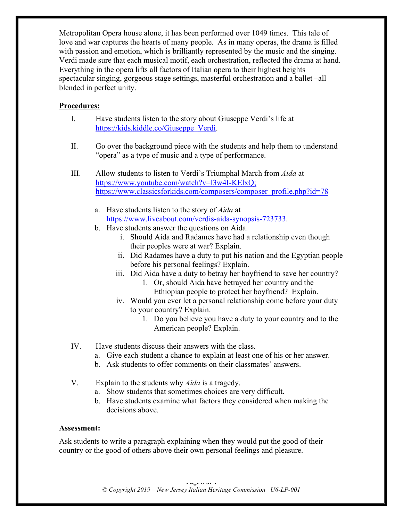Metropolitan Opera house alone, it has been performed over 1049 times. This tale of love and war captures the hearts of many people. As in many operas, the drama is filled with passion and emotion, which is brilliantly represented by the music and the singing. Verdi made sure that each musical motif, each orchestration, reflected the drama at hand. Everything in the opera lifts all factors of Italian opera to their highest heights – spectacular singing, gorgeous stage settings, masterful orchestration and a ballet –all blended in perfect unity.

#### **Procedures:**

- I. Have students listen to the story about Giuseppe Verdi's life at https://kids.kiddle.co/Giuseppe\_Verdi.
- II. Go over the background piece with the students and help them to understand "opera" as a type of music and a type of performance.
- III. Allow students to listen to Verdi's Triumphal March from *Aida* at https://www.youtube.com/watch?v=l3w4I-KElxQ; https://www.classicsforkids.com/composers/composer\_profile.php?id=78
	- a. Have students listen to the story of *Aida* at https://www.liveabout.com/verdis-aida-synopsis-723733.
	- b. Have students answer the questions on Aida.
		- i. Should Aida and Radames have had a relationship even though their peoples were at war? Explain.
		- ii. Did Radames have a duty to put his nation and the Egyptian people before his personal feelings? Explain.
		- iii. Did Aida have a duty to betray her boyfriend to save her country?
			- 1. Or, should Aida have betrayed her country and the Ethiopian people to protect her boyfriend? Explain.
		- iv. Would you ever let a personal relationship come before your duty to your country? Explain.
			- 1. Do you believe you have a duty to your country and to the American people? Explain.
- IV. Have students discuss their answers with the class.
	- a. Give each student a chance to explain at least one of his or her answer.
	- b. Ask students to offer comments on their classmates' answers.
- V. Explain to the students why *Aida* is a tragedy.
	- a. Show students that sometimes choices are very difficult.
	- b. Have students examine what factors they considered when making the decisions above.

#### **Assessment:**

Ask students to write a paragraph explaining when they would put the good of their country or the good of others above their own personal feelings and pleasure.